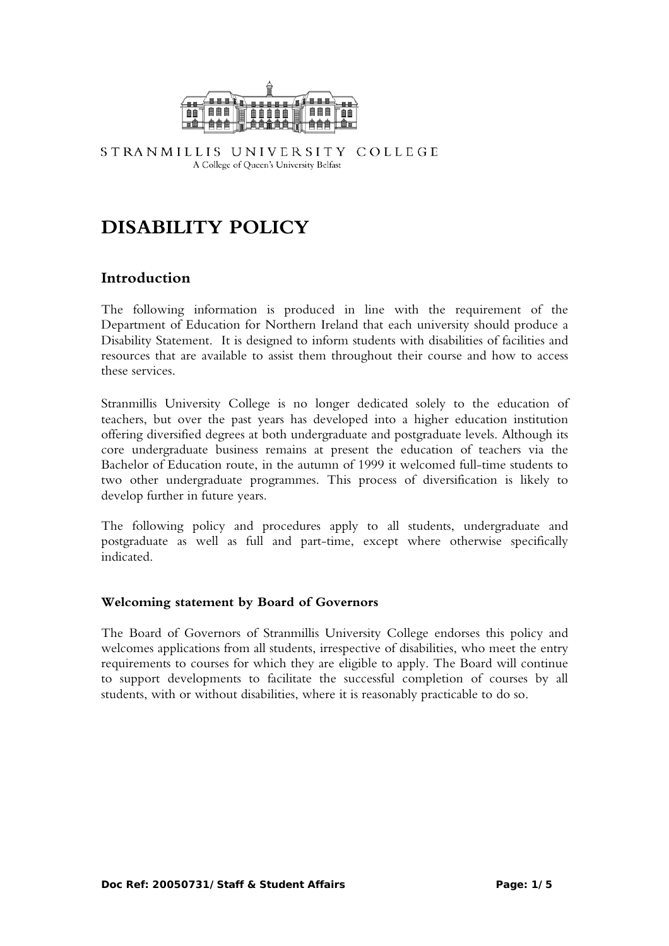

STRANMILLIS UNIVERSITY COLLEGE A College of Queen's University Belfast

# **DISABILITY POLICY**

# **Introduction**

The following information is produced in line with the requirement of the Department of Education for Northern Ireland that each university should produce a Disability Statement. It is designed to inform students with disabilities of facilities and resources that are available to assist them throughout their course and how to access these services.

Stranmillis University College is no longer dedicated solely to the education of teachers, but over the past years has developed into a higher education institution offering diversified degrees at both undergraduate and postgraduate levels. Although its core undergraduate business remains at present the education of teachers via the Bachelor of Education route, in the autumn of 1999 it welcomed full-time students to two other undergraduate programmes. This process of diversification is likely to develop further in future years.

The following policy and procedures apply to all students, undergraduate and postgraduate as well as full and part-time, except where otherwise specifically indicated.

#### **Welcoming statement by Board of Governors**

The Board of Governors of Stranmillis University College endorses this policy and welcomes applications from all students, irrespective of disabilities, who meet the entry requirements to courses for which they are eligible to apply. The Board will continue to support developments to facilitate the successful completion of courses by all students, with or without disabilities, where it is reasonably practicable to do so.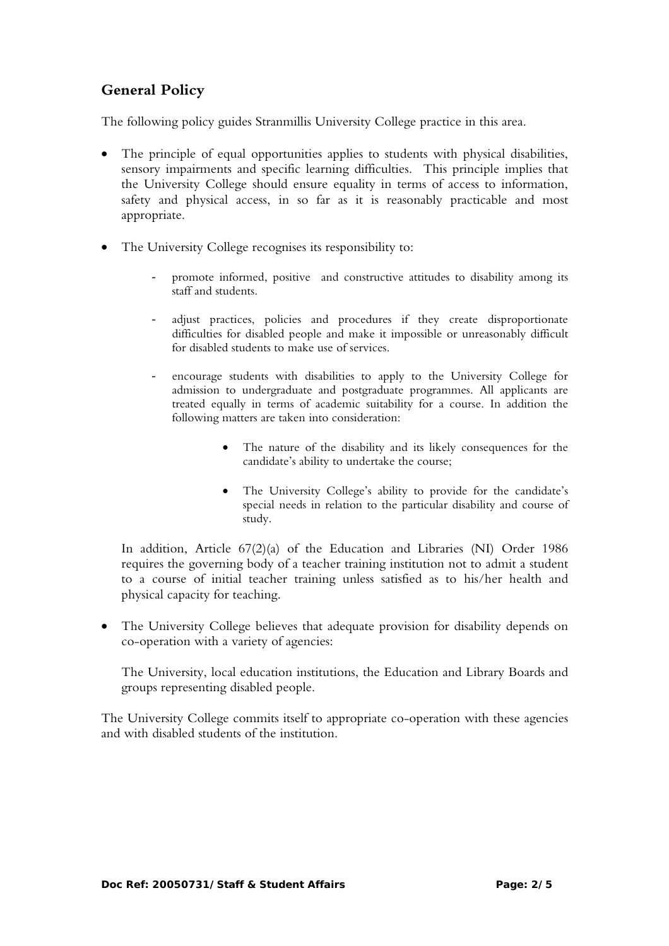# **General Policy**

The following policy guides Stranmillis University College practice in this area.

- The principle of equal opportunities applies to students with physical disabilities, sensory impairments and specific learning difficulties. This principle implies that the University College should ensure equality in terms of access to information, safety and physical access, in so far as it is reasonably practicable and most appropriate.
- The University College recognises its responsibility to:
	- promote informed, positive and constructive attitudes to disability among its staff and students.
	- adjust practices, policies and procedures if they create disproportionate difficulties for disabled people and make it impossible or unreasonably difficult for disabled students to make use of services.
	- encourage students with disabilities to apply to the University College for admission to undergraduate and postgraduate programmes. All applicants are treated equally in terms of academic suitability for a course. In addition the following matters are taken into consideration:
		- The nature of the disability and its likely consequences for the candidate's ability to undertake the course;
		- The University College's ability to provide for the candidate's special needs in relation to the particular disability and course of study.

In addition, Article 67(2)(a) of the Education and Libraries (NI) Order 1986 requires the governing body of a teacher training institution not to admit a student to a course of initial teacher training unless satisfied as to his/her health and physical capacity for teaching.

• The University College believes that adequate provision for disability depends on co-operation with a variety of agencies:

The University, local education institutions, the Education and Library Boards and groups representing disabled people.

The University College commits itself to appropriate co-operation with these agencies and with disabled students of the institution.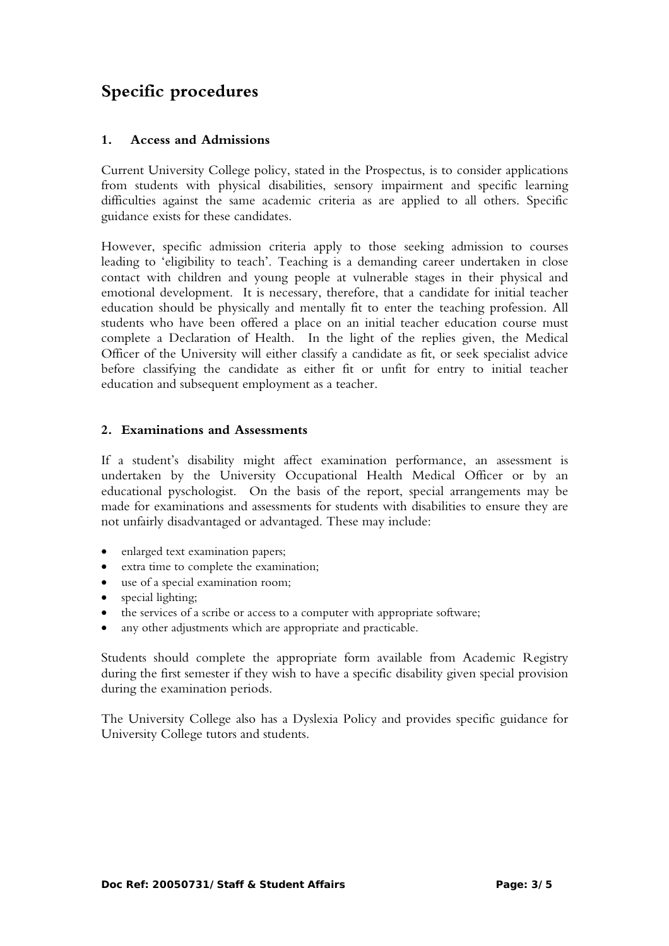# **Specific procedures**

## **1. Access and Admissions**

Current University College policy, stated in the Prospectus, is to consider applications from students with physical disabilities, sensory impairment and specific learning difficulties against the same academic criteria as are applied to all others. Specific guidance exists for these candidates.

However, specific admission criteria apply to those seeking admission to courses leading to 'eligibility to teach'. Teaching is a demanding career undertaken in close contact with children and young people at vulnerable stages in their physical and emotional development. It is necessary, therefore, that a candidate for initial teacher education should be physically and mentally fit to enter the teaching profession. All students who have been offered a place on an initial teacher education course must complete a Declaration of Health. In the light of the replies given, the Medical Officer of the University will either classify a candidate as fit, or seek specialist advice before classifying the candidate as either fit or unfit for entry to initial teacher education and subsequent employment as a teacher.

#### **2. Examinations and Assessments**

If a student's disability might affect examination performance, an assessment is undertaken by the University Occupational Health Medical Officer or by an educational pyschologist. On the basis of the report, special arrangements may be made for examinations and assessments for students with disabilities to ensure they are not unfairly disadvantaged or advantaged. These may include:

- enlarged text examination papers;
- extra time to complete the examination;
- use of a special examination room;
- special lighting;
- the services of a scribe or access to a computer with appropriate software;
- any other adjustments which are appropriate and practicable.

Students should complete the appropriate form available from Academic Registry during the first semester if they wish to have a specific disability given special provision during the examination periods.

The University College also has a Dyslexia Policy and provides specific guidance for University College tutors and students.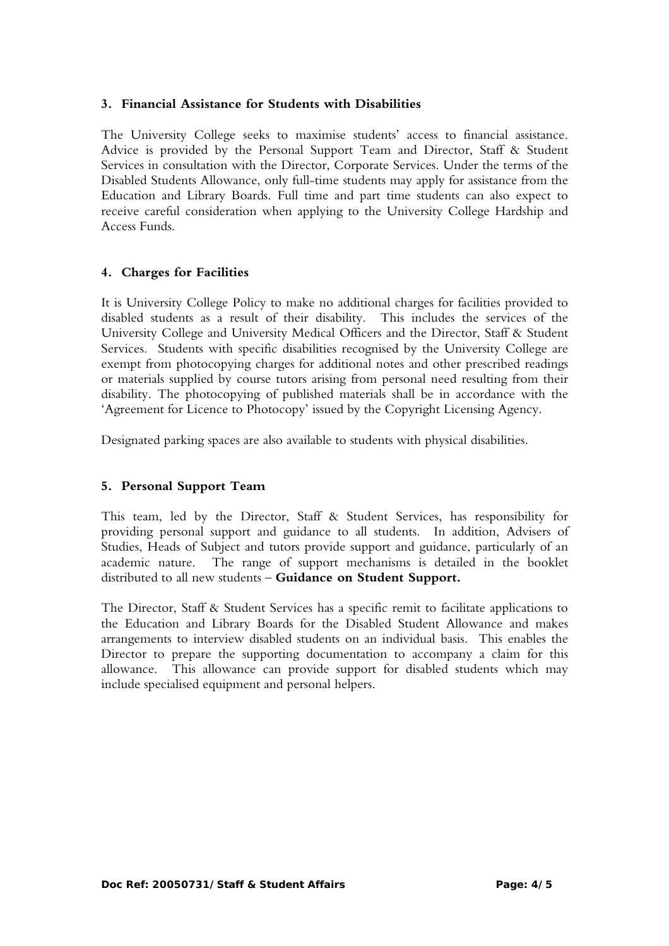#### **3. Financial Assistance for Students with Disabilities**

The University College seeks to maximise students' access to financial assistance. Advice is provided by the Personal Support Team and Director, Staff & Student Services in consultation with the Director, Corporate Services. Under the terms of the Disabled Students Allowance, only full-time students may apply for assistance from the Education and Library Boards. Full time and part time students can also expect to receive careful consideration when applying to the University College Hardship and Access Funds.

#### **4. Charges for Facilities**

It is University College Policy to make no additional charges for facilities provided to disabled students as a result of their disability. This includes the services of the University College and University Medical Officers and the Director, Staff & Student Services. Students with specific disabilities recognised by the University College are exempt from photocopying charges for additional notes and other prescribed readings or materials supplied by course tutors arising from personal need resulting from their disability. The photocopying of published materials shall be in accordance with the 'Agreement for Licence to Photocopy' issued by the Copyright Licensing Agency.

Designated parking spaces are also available to students with physical disabilities.

#### **5. Personal Support Team**

This team, led by the Director, Staff & Student Services, has responsibility for providing personal support and guidance to all students. In addition, Advisers of Studies, Heads of Subject and tutors provide support and guidance, particularly of an academic nature. The range of support mechanisms is detailed in the booklet distributed to all new students – **Guidance on Student Support.** 

The Director, Staff & Student Services has a specific remit to facilitate applications to the Education and Library Boards for the Disabled Student Allowance and makes arrangements to interview disabled students on an individual basis. This enables the Director to prepare the supporting documentation to accompany a claim for this allowance. This allowance can provide support for disabled students which may include specialised equipment and personal helpers.